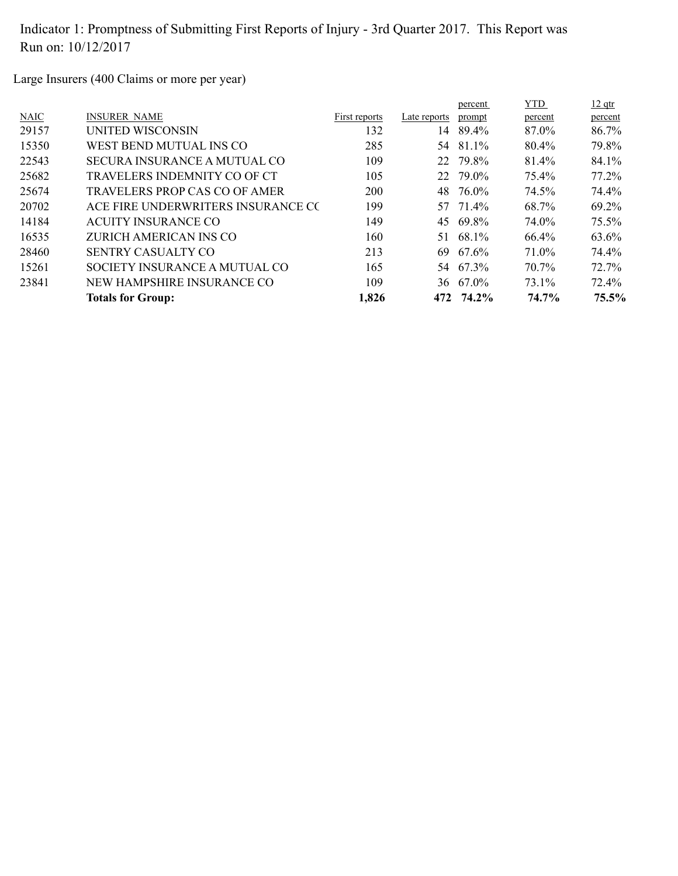Large Insurers (400 Claims or more per year)

|             |                                     |               |              | percent   | <b>YTD</b> | $12$ qtr |
|-------------|-------------------------------------|---------------|--------------|-----------|------------|----------|
| <b>NAIC</b> | <b>INSURER NAME</b>                 | First reports | Late reports | prompt    | percent    | percent  |
| 29157       | <b>UNITED WISCONSIN</b>             | 132           | 14           | 89.4%     | 87.0%      | 86.7%    |
| 15350       | WEST BEND MUTUAL INS CO             | 285           | 54           | 81.1%     | 80.4%      | 79.8%    |
| 22543       | <b>SECURA INSURANCE A MUTUAL CO</b> | 109           |              | 22 79.8%  | 81.4%      | 84.1%    |
| 25682       | TRAVELERS INDEMNITY CO OF CT        | 105           | 22           | 79.0%     | 75.4%      | 77.2%    |
| 25674       | TRAVELERS PROP CAS CO OF AMER       | 200           |              | 48 76.0%  | 74.5%      | 74.4%    |
| 20702       | ACE FIRE UNDERWRITERS INSURANCE CO  | 199           |              | 57 71.4%  | 68.7%      | 69.2%    |
| 14184       | <b>ACUITY INSURANCE CO</b>          | 149           | 45           | 69.8%     | 74.0%      | $75.5\%$ |
| 16535       | ZURICH AMERICAN INS CO              | 160           | 51.          | 68.1%     | 66.4%      | 63.6%    |
| 28460       | SENTRY CASUALTY CO                  | 213           | 69           | 67.6%     | 71.0%      | 74.4%    |
| 15261       | SOCIETY INSURANCE A MUTUAL CO       | 165           |              | 54 67.3%  | 70.7%      | 72.7%    |
| 23841       | NEW HAMPSHIRE INSURANCE CO          | 109           |              | 36 67.0%  | 73.1%      | 72.4%    |
|             | <b>Totals for Group:</b>            | 1,826         |              | 472 74.2% | 74.7%      | 75.5%    |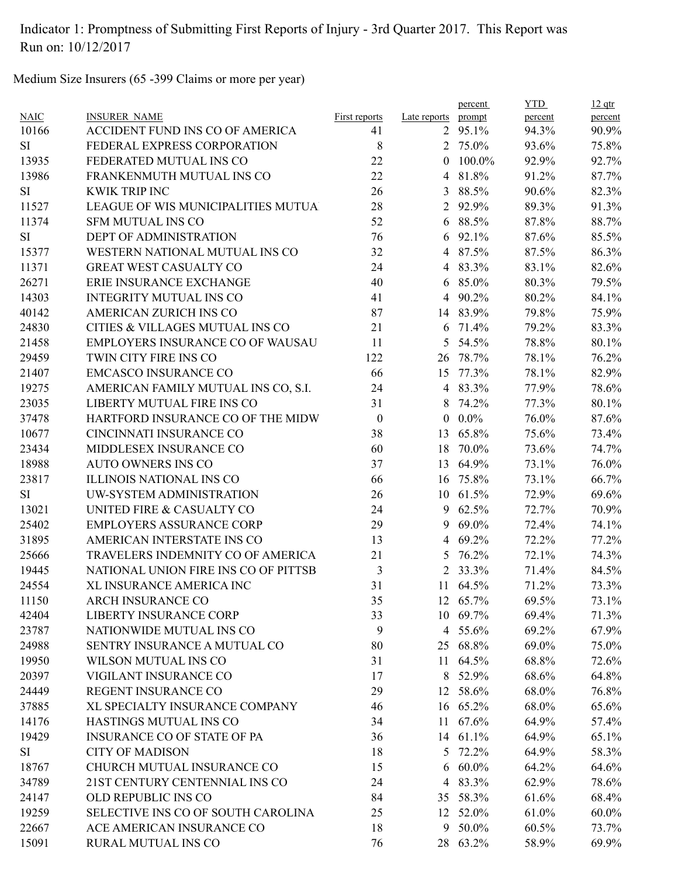Medium Size Insurers (65 -399 Claims or more per year)

|             |                                      |                      |                | percent  | <b>YTD</b> | $12$ qtr |
|-------------|--------------------------------------|----------------------|----------------|----------|------------|----------|
| <b>NAIC</b> | <b>INSURER NAME</b>                  | <b>First reports</b> | Late reports   | prompt   | percent    | percent  |
| 10166       | ACCIDENT FUND INS CO OF AMERICA      | 41                   | $\overline{2}$ | 95.1%    | 94.3%      | 90.9%    |
| <b>SI</b>   | FEDERAL EXPRESS CORPORATION          | 8                    |                | 2 75.0%  | 93.6%      | 75.8%    |
| 13935       | FEDERATED MUTUAL INS CO              | 22                   | $\theta$       | 100.0%   | 92.9%      | 92.7%    |
| 13986       | FRANKENMUTH MUTUAL INS CO            | 22                   | 4              | 81.8%    | 91.2%      | 87.7%    |
| <b>SI</b>   | <b>KWIK TRIP INC</b>                 | 26                   | 3              | 88.5%    | 90.6%      | 82.3%    |
| 11527       | LEAGUE OF WIS MUNICIPALITIES MUTUA   | 28                   | $\overline{2}$ | 92.9%    | 89.3%      | 91.3%    |
| 11374       | <b>SFM MUTUAL INS CO</b>             | 52                   | 6              | 88.5%    | 87.8%      | 88.7%    |
| <b>SI</b>   | <b>DEPT OF ADMINISTRATION</b>        | 76                   | 6              | 92.1%    | 87.6%      | 85.5%    |
| 15377       | WESTERN NATIONAL MUTUAL INS CO       | 32                   | 4              | 87.5%    | 87.5%      | 86.3%    |
| 11371       | <b>GREAT WEST CASUALTY CO</b>        | 24                   |                | 4 83.3%  | 83.1%      | 82.6%    |
| 26271       | ERIE INSURANCE EXCHANGE              | 40                   | 6              | 85.0%    | 80.3%      | 79.5%    |
| 14303       | <b>INTEGRITY MUTUAL INS CO</b>       | 41                   | 4              | 90.2%    | 80.2%      | 84.1%    |
| 40142       | AMERICAN ZURICH INS CO               | 87                   | 14             | 83.9%    | 79.8%      | 75.9%    |
| 24830       | CITIES & VILLAGES MUTUAL INS CO      | 21                   | 6              | 71.4%    | 79.2%      | 83.3%    |
| 21458       | EMPLOYERS INSURANCE CO OF WAUSAU     | 11                   | 5              | 54.5%    | 78.8%      | 80.1%    |
| 29459       | TWIN CITY FIRE INS CO                | 122                  | 26             | 78.7%    | 78.1%      | 76.2%    |
| 21407       | <b>EMCASCO INSURANCE CO</b>          | 66                   | 15             | 77.3%    | 78.1%      | 82.9%    |
| 19275       | AMERICAN FAMILY MUTUAL INS CO, S.I.  | 24                   | $\overline{4}$ | 83.3%    | 77.9%      | 78.6%    |
| 23035       | LIBERTY MUTUAL FIRE INS CO           | 31                   | 8              | 74.2%    | 77.3%      | 80.1%    |
| 37478       | HARTFORD INSURANCE CO OF THE MIDW    | $\boldsymbol{0}$     | $\mathbf{0}$   | $0.0\%$  | 76.0%      | 87.6%    |
| 10677       | CINCINNATI INSURANCE CO              | 38                   | 13             | 65.8%    | 75.6%      | 73.4%    |
| 23434       | MIDDLESEX INSURANCE CO               | 60                   | 18             | 70.0%    | 73.6%      | 74.7%    |
| 18988       | <b>AUTO OWNERS INS CO</b>            | 37                   | 13             | 64.9%    | 73.1%      | 76.0%    |
| 23817       | <b>ILLINOIS NATIONAL INS CO</b>      | 66                   |                | 16 75.8% | 73.1%      | 66.7%    |
| SI          | UW-SYSTEM ADMINISTRATION             | 26                   | 10             | 61.5%    | 72.9%      | 69.6%    |
| 13021       | UNITED FIRE & CASUALTY CO            | 24                   | 9              | 62.5%    | 72.7%      | 70.9%    |
| 25402       | EMPLOYERS ASSURANCE CORP             | 29                   | 9              | 69.0%    | 72.4%      | 74.1%    |
| 31895       | AMERICAN INTERSTATE INS CO           | 13                   | $\overline{4}$ | 69.2%    | 72.2%      | 77.2%    |
| 25666       | TRAVELERS INDEMNITY CO OF AMERICA    | 21                   | 5              | 76.2%    | 72.1%      | 74.3%    |
| 19445       | NATIONAL UNION FIRE INS CO OF PITTSB | 3                    | 2              | 33.3%    | 71.4%      | 84.5%    |
| 24554       | XL INSURANCE AMERICA INC             | 31                   |                | 11 64.5% | 71.2%      | 73.3%    |
| 11150       | ARCH INSURANCE CO                    | 35                   |                | 12 65.7% | 69.5%      | 73.1%    |
| 42404       | <b>LIBERTY INSURANCE CORP</b>        | 33                   |                | 10 69.7% | 69.4%      | 71.3%    |
| 23787       | NATIONWIDE MUTUAL INS CO             | 9                    |                | 4 55.6%  | 69.2%      | 67.9%    |
| 24988       | SENTRY INSURANCE A MUTUAL CO         | 80                   |                | 25 68.8% | 69.0%      | 75.0%    |
| 19950       | WILSON MUTUAL INS CO                 | 31                   | 11             | 64.5%    | 68.8%      | 72.6%    |
| 20397       | VIGILANT INSURANCE CO                | 17                   | 8              | 52.9%    | 68.6%      | 64.8%    |
| 24449       | REGENT INSURANCE CO                  | 29                   |                | 12 58.6% | 68.0%      | 76.8%    |
| 37885       | XL SPECIALTY INSURANCE COMPANY       | 46                   |                | 16 65.2% | 68.0%      | 65.6%    |
| 14176       | HASTINGS MUTUAL INS CO               | 34                   |                | 11 67.6% | 64.9%      | 57.4%    |
| 19429       | <b>INSURANCE CO OF STATE OF PA</b>   | 36                   |                | 14 61.1% | 64.9%      | 65.1%    |
| SI          | <b>CITY OF MADISON</b>               | 18                   |                | 5 72.2%  | 64.9%      | 58.3%    |
| 18767       | CHURCH MUTUAL INSURANCE CO           | 15                   | 6              | $60.0\%$ | 64.2%      | 64.6%    |
| 34789       | 21ST CENTURY CENTENNIAL INS CO       | 24                   | 4              | 83.3%    | 62.9%      | 78.6%    |
| 24147       | OLD REPUBLIC INS CO                  | 84                   |                | 35 58.3% | 61.6%      | 68.4%    |
| 19259       | SELECTIVE INS CO OF SOUTH CAROLINA   | 25                   |                | 12 52.0% |            | 60.0%    |
| 22667       | ACE AMERICAN INSURANCE CO            | 18                   | 9              | 50.0%    | 61.0%      | 73.7%    |
|             |                                      |                      |                |          | 60.5%      |          |
| 15091       | RURAL MUTUAL INS CO                  | 76                   |                | 28 63.2% | 58.9%      | 69.9%    |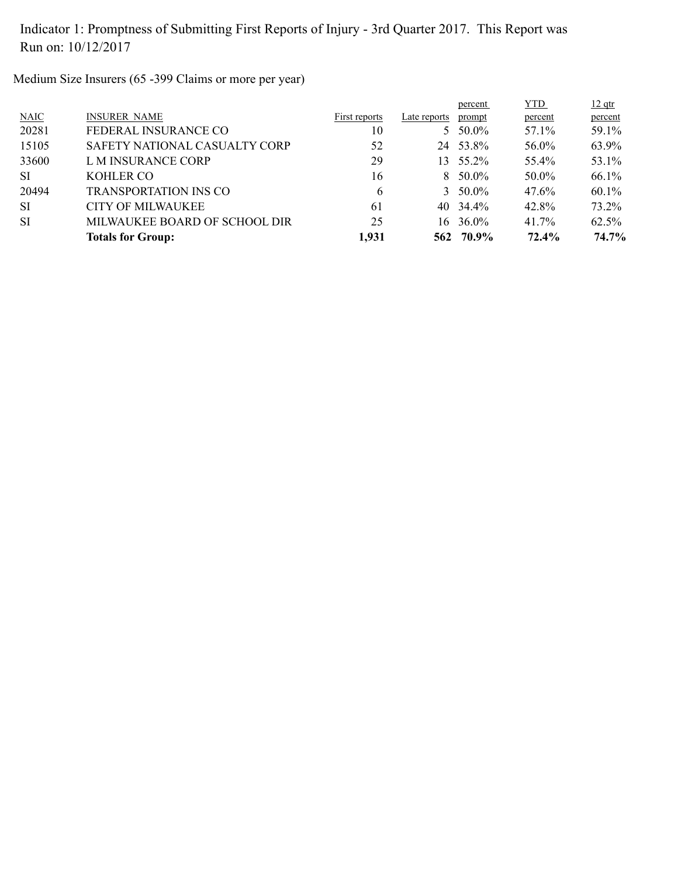Medium Size Insurers (65 -399 Claims or more per year)

|           |                               |               |              | percent         | <b>YTD</b> | $12$ qtr |
|-----------|-------------------------------|---------------|--------------|-----------------|------------|----------|
| N AIC     | <b>INSURER NAME</b>           | First reports | Late reports | prompt          | percent    | percent  |
| 20281     | FEDERAL INSURANCE CO          | 10            |              | 5 $50.0\%$      | 57.1%      | 59.1%    |
| 15105     | SAFETY NATIONAL CASUALTY CORP | 52            | 24           | 53.8%           | 56.0%      | 63.9%    |
| 33600     | L M INSURANCE CORP            | 29            | 13.          | 55.2%           | 55.4%      | 53.1%    |
| <b>SI</b> | KOHLER CO                     | 16            |              | $8\quad 50.0\%$ | 50.0%      | 66.1%    |
| 20494     | <b>TRANSPORTATION INS CO</b>  | $\mathfrak b$ |              | 3 $50.0\%$      | 47.6%      | $60.1\%$ |
| <b>SI</b> | <b>CITY OF MILWAUKEE</b>      | 61            |              | 40 34.4%        | 42.8%      | 73.2%    |
| <b>SI</b> | MILWAUKEE BOARD OF SCHOOL DIR | 25            | 16           | 36.0%           | 41.7%      | 62.5%    |
|           | <b>Totals for Group:</b>      | 1,931         |              | 562 70.9%       | 72.4%      | 74.7%    |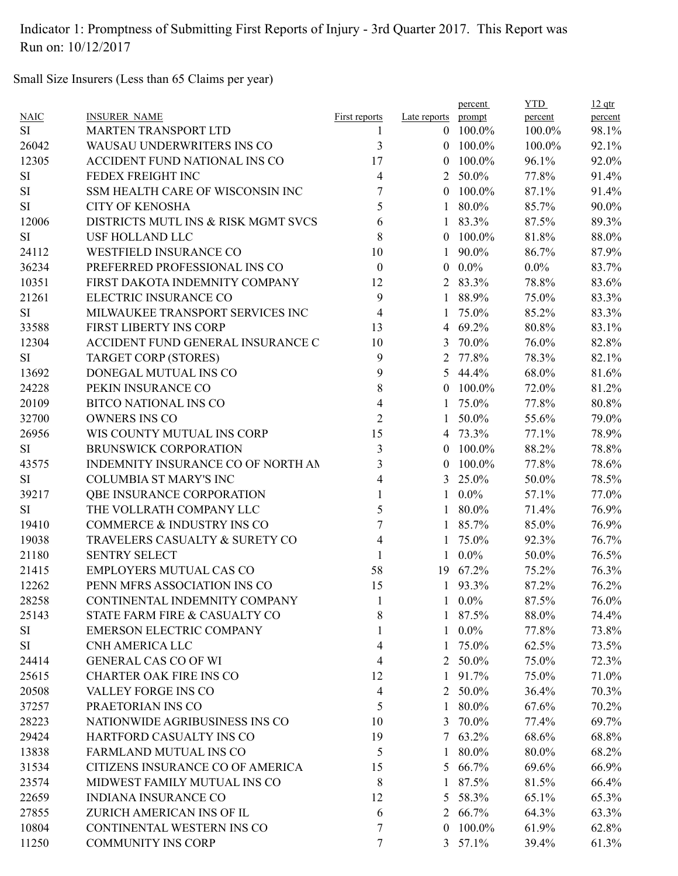Small Size Insurers (Less than 65 Claims per year)

|           |                                      |                      |                    | percent         | <b>YTD</b> | $12$ qtr |
|-----------|--------------------------------------|----------------------|--------------------|-----------------|------------|----------|
| NAIC      | <b>INSURER NAME</b>                  | <b>First reports</b> | Late reports       | prompt          | percent    | percent  |
| <b>SI</b> | <b>MARTEN TRANSPORT LTD</b>          | 1                    | $\theta$           | 100.0%          | 100.0%     | 98.1%    |
| 26042     | WAUSAU UNDERWRITERS INS CO           | 3                    | $\theta$           | 100.0%          | 100.0%     | 92.1%    |
| 12305     | <b>ACCIDENT FUND NATIONAL INS CO</b> | 17                   | $\theta$           | 100.0%          | 96.1%      | 92.0%    |
| <b>SI</b> | FEDEX FREIGHT INC                    | 4                    | 2                  | 50.0%           | 77.8%      | 91.4%    |
| $\rm SI$  | SSM HEALTH CARE OF WISCONSIN INC     | 7                    | $\theta$           | 100.0%          | 87.1%      | 91.4%    |
| <b>SI</b> | <b>CITY OF KENOSHA</b>               | 5                    |                    | 80.0%           | 85.7%      | 90.0%    |
| 12006     | DISTRICTS MUTL INS & RISK MGMT SVCS  | 6                    |                    | 83.3%           | 87.5%      | 89.3%    |
| <b>SI</b> | <b>USF HOLLAND LLC</b>               | 8                    | $\theta$           | 100.0%          | 81.8%      | 88.0%    |
| 24112     | <b>WESTFIELD INSURANCE CO</b>        | 10                   | 1                  | 90.0%           | 86.7%      | 87.9%    |
| 36234     | PREFERRED PROFESSIONAL INS CO        | $\boldsymbol{0}$     | $\theta$           | $0.0\%$         | $0.0\%$    | 83.7%    |
| 10351     | FIRST DAKOTA INDEMNITY COMPANY       | 12                   |                    | 2 83.3%         | 78.8%      | 83.6%    |
| 21261     | ELECTRIC INSURANCE CO                | 9                    | $\mathbf{1}$       | 88.9%           | 75.0%      | 83.3%    |
| SI        | MILWAUKEE TRANSPORT SERVICES INC     | $\overline{4}$       |                    | 75.0%           | 85.2%      | 83.3%    |
| 33588     | FIRST LIBERTY INS CORP               | 13                   | 4                  | 69.2%           | 80.8%      | 83.1%    |
| 12304     | ACCIDENT FUND GENERAL INSURANCE C    | 10                   | 3                  | 70.0%           | 76.0%      | 82.8%    |
| <b>SI</b> | <b>TARGET CORP (STORES)</b>          | 9                    | 2                  | 77.8%           | 78.3%      | 82.1%    |
| 13692     | DONEGAL MUTUAL INS CO                | 9                    | 5                  | 44.4%           | 68.0%      | 81.6%    |
| 24228     | PEKIN INSURANCE CO                   | 8                    | $\left( 0 \right)$ | 100.0%          | 72.0%      | 81.2%    |
| 20109     | <b>BITCO NATIONAL INS CO</b>         | 4                    | 1                  | 75.0%           | 77.8%      | 80.8%    |
| 32700     | <b>OWNERS INS CO</b>                 | $\overline{2}$       | 1                  | 50.0%           | 55.6%      | 79.0%    |
| 26956     | WIS COUNTY MUTUAL INS CORP           | 15                   | 4                  | 73.3%           | 77.1%      | 78.9%    |
| <b>SI</b> | <b>BRUNSWICK CORPORATION</b>         | 3                    | $\theta$           | 100.0%          | 88.2%      | 78.8%    |
| 43575     | INDEMNITY INSURANCE CO OF NORTH AN   | 3                    | $\theta$           | 100.0%          | 77.8%      | 78.6%    |
| <b>SI</b> | <b>COLUMBIA ST MARY'S INC</b>        | 4                    | 3                  | 25.0%           | 50.0%      | 78.5%    |
| 39217     | QBE INSURANCE CORPORATION            |                      | $\mathbf{1}$       | $0.0\%$         | 57.1%      | 77.0%    |
| <b>SI</b> | THE VOLLRATH COMPANY LLC             | 5                    | 1                  | 80.0%           | 71.4%      | 76.9%    |
| 19410     | COMMERCE & INDUSTRY INS CO           | $\overline{7}$       | $\mathbf{1}$       | 85.7%           | 85.0%      | 76.9%    |
| 19038     | TRAVELERS CASUALTY & SURETY CO       | 4                    |                    | 75.0%           | 92.3%      | 76.7%    |
| 21180     | <b>SENTRY SELECT</b>                 |                      | 1                  | $0.0\%$         | 50.0%      | 76.5%    |
| 21415     | <b>EMPLOYERS MUTUAL CAS CO</b>       | 58                   | 19                 | 67.2%           | 75.2%      | 76.3%    |
| 12262     | PENN MFRS ASSOCIATION INS CO         | 15                   | $\mathbf{1}$       | 93.3%           | 87.2%      | 76.2%    |
| 28258     | CONTINENTAL INDEMNITY COMPANY        |                      |                    | $1 \quad 0.0\%$ | 87.5%      | 76.0%    |
| 25143     | STATE FARM FIRE & CASUALTY CO        | 8                    |                    | 1 87.5%         | 88.0%      | 74.4%    |
| SI        | <b>EMERSON ELECTRIC COMPANY</b>      |                      |                    | $1 \t0.0\%$     | 77.8%      | 73.8%    |
| <b>SI</b> | CNH AMERICA LLC                      | 4                    |                    | 1 75.0%         |            |          |
|           | <b>GENERAL CAS CO OF WI</b>          |                      |                    |                 | 62.5%      | 73.5%    |
| 24414     |                                      | 4                    |                    | 2 50.0%         | 75.0%      | 72.3%    |
| 25615     | <b>CHARTER OAK FIRE INS CO</b>       | 12                   |                    | 1 91.7%         | 75.0%      | 71.0%    |
| 20508     | VALLEY FORGE INS CO                  | 4                    | $\overline{2}$     | 50.0%           | 36.4%      | 70.3%    |
| 37257     | PRAETORIAN INS CO                    | 5                    | $\mathbf{1}$       | 80.0%           | 67.6%      | 70.2%    |
| 28223     | NATIONWIDE AGRIBUSINESS INS CO       | 10                   |                    | 3 70.0%         | 77.4%      | 69.7%    |
| 29424     | HARTFORD CASUALTY INS CO             | 19                   |                    | $7\quad 63.2\%$ | 68.6%      | 68.8%    |
| 13838     | FARMLAND MUTUAL INS CO               | 5                    | 1                  | 80.0%           | 80.0%      | 68.2%    |
| 31534     | CITIZENS INSURANCE CO OF AMERICA     | 15                   |                    | 5 66.7%         | 69.6%      | 66.9%    |
| 23574     | MIDWEST FAMILY MUTUAL INS CO         | 8                    | 1                  | 87.5%           | 81.5%      | 66.4%    |
| 22659     | <b>INDIANA INSURANCE CO</b>          | 12                   | 5                  | 58.3%           | 65.1%      | 65.3%    |
| 27855     | ZURICH AMERICAN INS OF IL            | 6                    | 2                  | 66.7%           | 64.3%      | 63.3%    |
| 10804     | CONTINENTAL WESTERN INS CO           | 7                    | $\overline{0}$     | 100.0%          | 61.9%      | 62.8%    |
| 11250     | <b>COMMUNITY INS CORP</b>            | 7                    |                    | $3\quad 57.1\%$ | 39.4%      | 61.3%    |